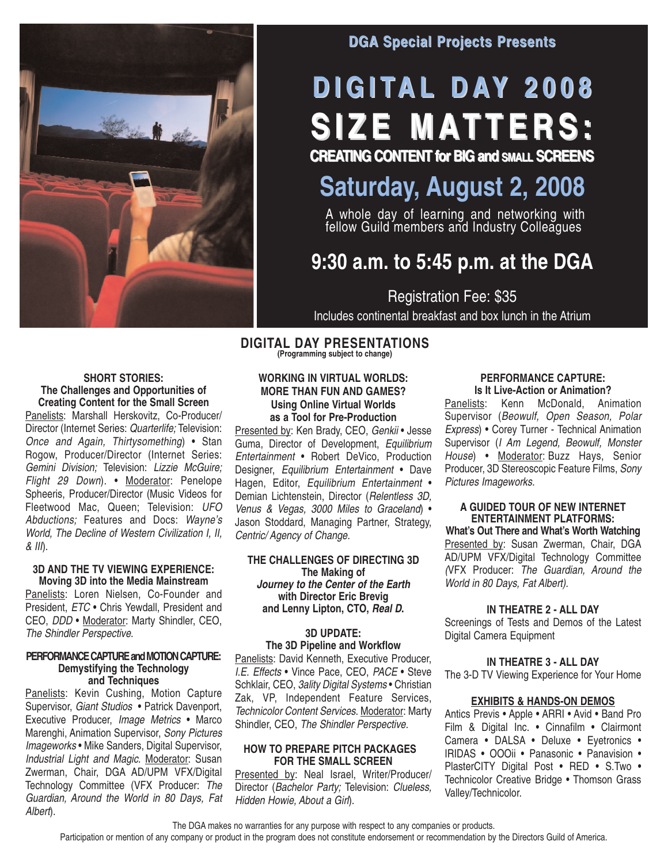

## **DGA Special Projects Presents**

# **D I G I TA L D AY 2 0 0 8 S I Z E MAT T E R S :**

**CREATING CONTENT for BIG and SMALL SCREENS**

## **Saturday, August 2, 2008**

A whole day of learning and networking with fellow Guild members and Industry Colleagues

## **9:30 a.m. to 5:45 p.m. at the DGA**

Registration Fee: \$35 Includes continental breakfast and box lunch in the Atrium

#### **DIGITAL DAY PRESENTATIONS (Programming subject to change)**

### **SHORT STORIES: The Challenges and Opportunities of Creating Content for the Small Screen**

Panelists: Marshall Herskovitz, Co-Producer/ Director (Internet Series: Quarterlife; Television: Once and Again, Thirtysomething) • Stan Rogow, Producer/Director (Internet Series: Gemini Division; Television: Lizzie McGuire; Flight 29 Down). • Moderator: Penelope Spheeris, Producer/Director (Music Videos for Fleetwood Mac, Queen; Television: UFO Abductions; Features and Docs: Wayne's World, The Decline of Western Civilization I, II,  $&$   $III$ ).

## **3D AND THE TV VIEWING EXPERIENCE: Moving 3D into the Media Mainstream**

Panelists: Loren Nielsen, Co-Founder and President, ETC • Chris Yewdall, President and CEO, DDD • Moderator: Marty Shindler, CEO, The Shindler Perspective.

### **PERFORMANCE CAPTURE and MOTION CAPTURE: Demystifying the Technology and Techniques**

Panelists: Kevin Cushing, Motion Capture Supervisor, Giant Studios • Patrick Davenport, Executive Producer, Image Metrics • Marco Marenghi, Animation Supervisor, Sony Pictures Imageworks • Mike Sanders, Digital Supervisor, Industrial Light and Magic. Moderator: Susan Zwerman, Chair, DGA AD/UPM VFX/Digital Technology Committee (VFX Producer: The Guardian, Around the World in 80 Days, Fat Albert).

## **WORKING IN VIRTUAL WORLDS: MORE THAN FUN AND GAMES? Using Online Virtual Worlds as a Tool for Pre-Production**

Presented by: Ken Brady, CEO, Genkii • Jesse Guma, Director of Development, Equilibrium Entertainment • Robert DeVico, Production Designer, Equilibrium Entertainment • Dave Hagen, Editor, Equilibrium Entertainment • Demian Lichtenstein, Director (Relentless 3D, Venus & Vegas, 3000 Miles to Graceland) • Jason Stoddard, Managing Partner, Strategy, Centric/ Agency of Change.

### **THE CHALLENGES OF DIRECTING 3D The Making of Journey to the Center of the Earth with Director Eric Brevig and Lenny Lipton, CTO, Real D.**

## **3D UPDATE: The 3D Pipeline and Workflow**

Panelists: David Kenneth, Executive Producer, I.E. Effects • Vince Pace, CEO, PACE • Steve Schklair, CEO, 3ality Digital Systems • Christian Zak, VP, Independent Feature Services, Technicolor Content Services. Moderator: Marty Shindler, CEO, The Shindler Perspective.

### **HOW TO PREPARE PITCH PACKAGES FOR THE SMALL SCREEN**

Presented by: Neal Israel, Writer/Producer/ Director (Bachelor Party; Television: Clueless, Hidden Howie, About a Girl).

#### **PERFORMANCE CAPTURE: Is It Live-Action or Animation?**

Panelists: Kenn McDonald, Animation Supervisor (Beowulf, Open Season, Polar Express) • Corey Turner - Technical Animation Supervisor (I Am Legend, Beowulf, Monster House) • Moderator: Buzz Hays, Senior Producer, 3D Stereoscopic Feature Films, Sony Pictures Imageworks.

## **A GUIDED TOUR OF NEW INTERNET ENTERTAINMENT PLATFORMS:**

**What's Out There and What's Worth Watching** Presented by: Susan Zwerman, Chair, DGA AD/UPM VFX/Digital Technology Committee (VFX Producer: The Guardian, Around the World in 80 Days, Fat Albert).

## **IN THEATRE 2 - ALL DAY**

Screenings of Tests and Demos of the Latest Digital Camera Equipment

## **IN THEATRE 3 - ALL DAY**

The 3-D TV Viewing Experience for Your Home

## **EXHIBITS & HANDS-ON DEMOS**

Antics Previs • Apple • ARRI • Avid • Band Pro Film & Digital Inc. • Cinnafilm • Clairmont Camera • DALSA • Deluxe • Eyetronics • IRIDAS • OOOii • Panasonic • Panavision • PlasterCITY Digital Post • RED • S.Two • Technicolor Creative Bridge • Thomson Grass Valley/Technicolor.

The DGA makes no warranties for any purpose with respect to any companies or products.

Participation or mention of any company or product in the program does not constitute endorsement or recommendation by the Directors Guild of America.